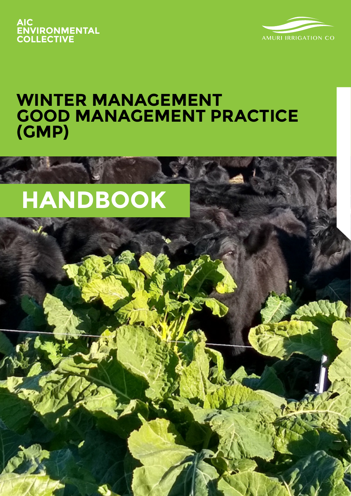



Amuri Irrigation Company – **Winter Management Handbook** I A

# **WINTER MANAGEMENT GOOD MANAGEMENT PRACTICE (GMP)**

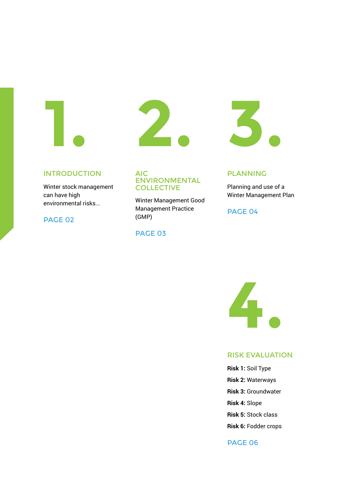

# Introduction AIC

Winter stock management can have high environmental risks...

PAGE 02



# ENVIRONMENTAL **COLLECTIVE**

Winter Management Good Management Practice (GMP)

### PAGE 03



### PLANNING

Planning and use of a Winter Management Plan

PAGE 04



# RISK EVALUATION

**Risk 1:** Soil Type **Risk 2:** Waterways **Risk 3:** Groundwater **Risk 4:** Slope **Risk 5:** Stock class **Risk 6:** Fodder crops

# PAGE 06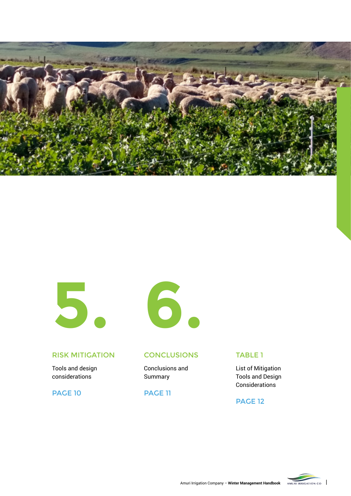



# RISK MITIGATION CONCLUSIONS TABLE 1

Tools and design considerations

**PAGE 10** 



Conclusions and Summary

# **PAGE 11**

List of Mitigation Tools and Design Considerations

### **PAGE 12**

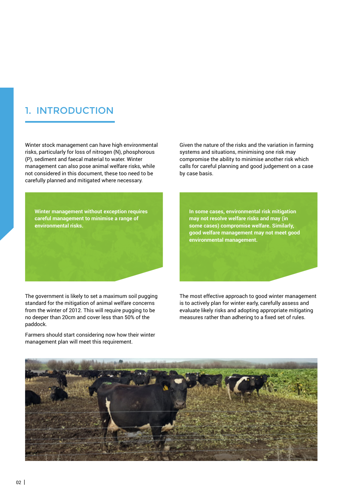# 1. Introduction

Winter stock management can have high environmental risks, particularly for loss of nitrogen (N), phosphorous (P), sediment and faecal material to water. Winter management can also pose animal welfare risks, while not considered in this document, these too need to be carefully planned and mitigated where necessary.

**Winter management without exception requires careful management to minimise a range of environmental risks.**

The government is likely to set a maximum soil pugging standard for the mitigation of animal welfare concerns from the winter of 2012. This will require pugging to be no deeper than 20cm and cover less than 50% of the paddock.

Farmers should start considering now how their winter management plan will meet this requirement.

Given the nature of the risks and the variation in farming systems and situations, minimising one risk may compromise the ability to minimise another risk which calls for careful planning and good judgement on a case by case basis.

**In some cases, environmental risk mitigation may not resolve welfare risks and may (in some cases) compromise welfare. Similarly, good welfare management may not meet good environmental management.**

The most effective approach to good winter management is to actively plan for winter early, carefully assess and evaluate likely risks and adopting appropriate mitigating measures rather than adhering to a fixed set of rules.

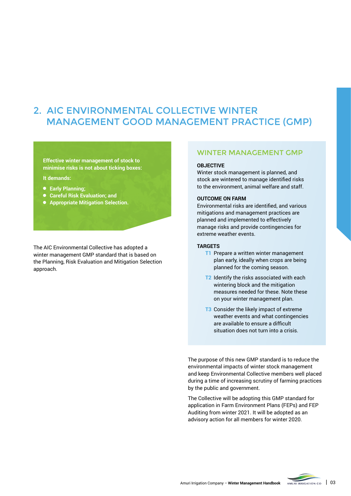# 2. AIC Environmental Collective Winter Management Good Management Practice (GMP)

#### **Effective winter management of stock to minimise risks is not about ticking boxes:**

#### **It demands:**

- **Early Planning;**
- **Careful Risk Evaluation; and**
- **Appropriate Mitigation Selection.**

The AIC Environmental Collective has adopted a winter management GMP standard that is based on the Planning, Risk Evaluation and Mitigation Selection approach.

### Winter Management GMP

#### **Objective**

Winter stock management is planned, and stock are wintered to manage identified risks to the environment, animal welfare and staff.

#### **Outcome on farm**

Environmental risks are identified, and various mitigations and management practices are planned and implemented to effectively manage risks and provide contingencies for extreme weather events.

#### **Targets**

- **T1** Prepare a written winter management plan early, ideally when crops are being planned for the coming season.
- **T2** Identify the risks associated with each wintering block and the mitigation measures needed for these. Note these on your winter management plan.
- **T3** Consider the likely impact of extreme weather events and what contingencies are available to ensure a difficult situation does not turn into a crisis.

The purpose of this new GMP standard is to reduce the environmental impacts of winter stock management and keep Environmental Collective members well placed during a time of increasing scrutiny of farming practices by the public and government.

The Collective will be adopting this GMP standard for application in Farm Environment Plans (FEPs) and FEP Auditing from winter 2021. It will be adopted as an advisory action for all members for winter 2020.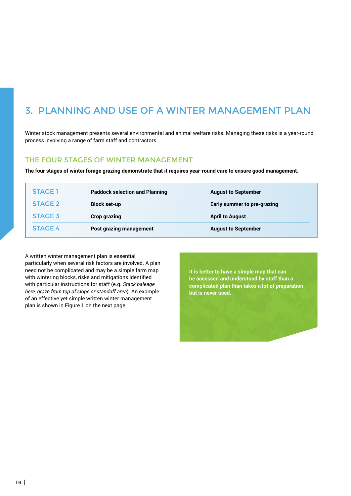# 3. Planning and use of a Winter Management Plan

Winter stock management presents several environmental and animal welfare risks. Managing these risks is a year-round process involving a range of farm staff and contractors.

### THE FOUR STAGES OF WINTER MANAGEMENT

**The four stages of winter forage grazing demonstrate that it requires year-round care to ensure good management.**

| <b>STAGE 1</b> | <b>Paddock selection and Planning</b> | <b>August to September</b>  |
|----------------|---------------------------------------|-----------------------------|
| <b>STAGE 2</b> | <b>Block set-up</b>                   | Early summer to pre-grazing |
| <b>STAGE 3</b> | <b>Crop grazing</b>                   | <b>April to August</b>      |
| <b>STAGE 4</b> | <b>Post grazing management</b>        | <b>August to September</b>  |

A written winter management plan is essential, particularly when several risk factors are involved. A plan need not be complicated and may be a simple farm map with wintering blocks, risks and mitigations identified with particular instructions for staff (e.g. *Stack baleage here, graze from top of slope or standoff area*). An example of an effective yet simple written winter management plan is shown in Figure 1 on the next page.

**It is better to have a simple map that can be accessed and understood by staff than a complicated plan than takes a lot of preparation but is never used.**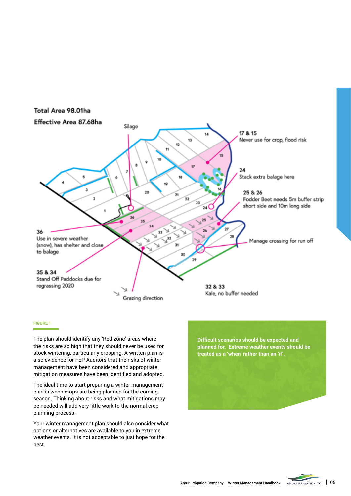

#### **Figure 1**

The plan should identify any 'Red zone' areas where the risks are so high that they should never be used for stock wintering, particularly cropping. A written plan is also evidence for FEP Auditors that the risks of winter management have been considered and appropriate mitigation measures have been identified and adopted.

The ideal time to start preparing a winter management plan is when crops are being planned for the coming season. Thinking about risks and what mitigations may be needed will add very little work to the normal crop planning process.

Your winter management plan should also consider what options or alternatives are available to you in extreme weather events. It is not acceptable to just hope for the best.

**Difficult scenarios should be expected and planned for. Extreme weather events should be treated as a 'when' rather than an 'if'.**

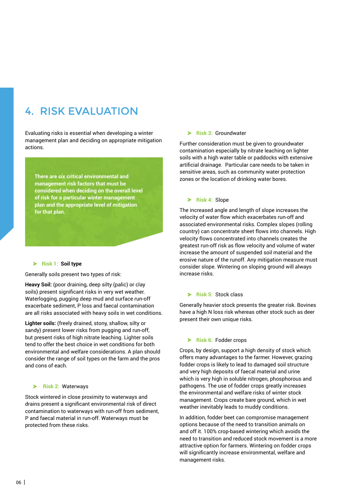# 4. Risk Evaluation

Evaluating risks is essential when developing a winter management plan and deciding on appropriate mitigation actions.

**There are six critical environmental and management risk factors that must be considered when deciding on the overall level of risk for a particular winter management plan and the appropriate level of mitigation for that plan.**

#### **Risk 1: Soil type**

Generally soils present two types of risk:

**Heavy Soil:** (poor draining, deep silty (palic) or clay soils) present significant risks in very wet weather. Waterlogging, pugging deep mud and surface run-off exacerbate sediment, P loss and faecal contamination are all risks associated with heavy soils in wet conditions.

**Lighter soils:** (freely drained, stony, shallow, silty or sandy) present lower risks from pugging and run-off, but present risks of high nitrate leaching. Lighter soils tend to offer the best choice in wet conditions for both environmental and welfare considerations. A plan should consider the range of soil types on the farm and the pros and cons of each.

#### **Risk 2:** Waterways

Stock wintered in close proximity to waterways and drains present a significant environmental risk of direct contamination to waterways with run-off from sediment, P and faecal material in run-off. Waterways must be protected from these risks.

#### **Risk 3:** Groundwater

Further consideration must be given to groundwater contamination especially by nitrate leaching on lighter soils with a high water table or paddocks with extensive artificial drainage. Particular care needs to be taken in sensitive areas, such as community water protection zones or the location of drinking water bores.

#### **Risk 4:** Slope

The increased angle and length of slope increases the velocity of water flow which exacerbates run-off and associated environmental risks. Complex slopes (rolling country) can concentrate sheet flows into channels. High velocity flows concentrated into channels creates the greatest run-off risk as flow velocity and volume of water increase the amount of suspended soil material and the erosive nature of the runoff. Any mitigation measure must consider slope. Wintering on sloping ground will always increase risks.

#### **Risk 5:** Stock class

Generally heavier stock presents the greater risk. Bovines have a high N loss risk whereas other stock such as deer present their own unique risks.

#### **Risk 6:** Fodder crops

Crops, by design, support a high density of stock which offers many advantages to the farmer. However, grazing fodder crops is likely to lead to damaged soil structure and very high deposits of faecal material and urine which is very high in soluble nitrogen, phosphorous and pathogens. The use of fodder crops greatly increases the environmental and welfare risks of winter stock management. Crops create bare ground, which in wet weather inevitably leads to muddy conditions.

In addition, fodder beet can compromise management options because of the need to transition animals on and off it. 100% crop-based wintering which avoids the need to transition and reduced stock movement is a more attractive option for farmers. Wintering on fodder crops will significantly increase environmental, welfare and management risks.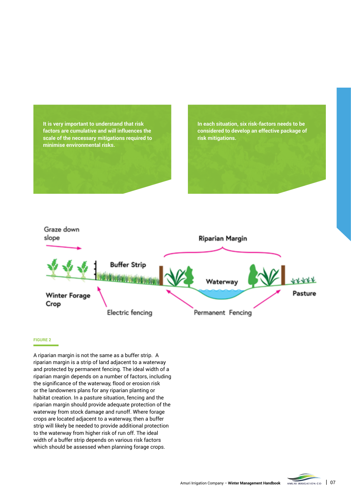**It is very important to understand that risk factors are cumulative and will influences the scale of the necessary mitigations required to minimise environmental risks.**

**In each situation, six risk-factors needs to be considered to develop an effective package of risk mitigations.**



#### **Figure 2**

A riparian margin is not the same as a buffer strip. A riparian margin is a strip of land adjacent to a waterway and protected by permanent fencing. The ideal width of a riparian margin depends on a number of factors, including the significance of the waterway, flood or erosion risk or the landowners plans for any riparian planting or habitat creation. In a pasture situation, fencing and the riparian margin should provide adequate protection of the waterway from stock damage and runoff. Where forage crops are located adjacent to a waterway, then a buffer strip will likely be needed to provide additional protection to the waterway from higher risk of run off. The ideal width of a buffer strip depends on various risk factors which should be assessed when planning forage crops.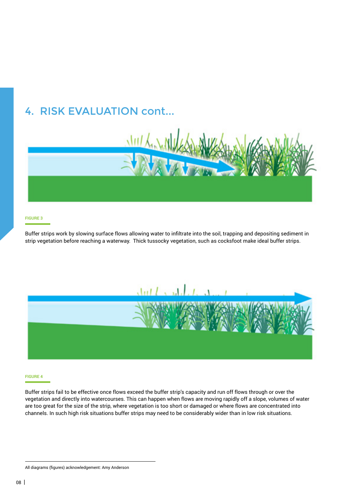# 4. Risk Evaluation cont...



#### **Figure 3**

Buffer strips work by slowing surface flows allowing water to infiltrate into the soil, trapping and depositing sediment in strip vegetation before reaching a waterway. Thick tussocky vegetation, such as cocksfoot make ideal buffer strips.



#### **Figure 4**

Buffer strips fail to be effective once flows exceed the buffer strip's capacity and run off flows through or over the vegetation and directly into watercourses. This can happen when flows are moving rapidly off a slope, volumes of water are too great for the size of the strip, where vegetation is too short or damaged or where flows are concentrated into channels. In such high risk situations buffer strips may need to be considerably wider than in low risk situations.

All diagrams (figures) acknowledgement: Amy Anderson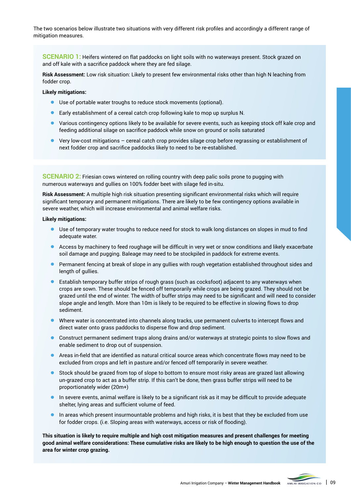The two scenarios below illustrate two situations with very different risk profiles and accordingly a different range of mitigation measures.

**SCENARIO 1:** Heifers wintered on flat paddocks on light soils with no waterways present. Stock grazed on and off kale with a sacrifice paddock where they are fed silage.

**Risk Assessment:** Low risk situation: Likely to present few environmental risks other than high N leaching from fodder crop.

**Likely mitigations:** 

- Use of portable water troughs to reduce stock movements (optional).
- Early establishment of a cereal catch crop following kale to mop up surplus N.
- Various contingency options likely to be available for severe events, such as keeping stock off kale crop and feeding additional silage on sacrifice paddock while snow on ground or soils saturated
- Very low-cost mitigations cereal catch crop provides silage crop before regrassing or establishment of next fodder crop and sacrifice paddocks likely to need to be re-established.

**SCENARIO 2:** Friesian cows wintered on rolling country with deep palic soils prone to pugging with numerous waterways and gullies on 100% fodder beet with silage fed in-situ.

**Risk Assessment:** A multiple high risk situation presenting significant environmental risks which will require significant temporary and permanent mitigations. There are likely to be few contingency options available in severe weather, which will increase environmental and animal welfare risks.

#### **Likely mitigations:**

- Use of temporary water troughs to reduce need for stock to walk long distances on slopes in mud to find adequate water.
- Access by machinery to feed roughage will be difficult in very wet or snow conditions and likely exacerbate soil damage and pugging. Baleage may need to be stockpiled in paddock for extreme events.
- Permanent fencing at break of slope in any gullies with rough vegetation established throughout sides and length of gullies.
- Establish temporary buffer strips of rough grass (such as cocksfoot) adjacent to any waterways when  $\bullet$ crops are sown. These should be fenced off temporarily while crops are being grazed. They should not be grazed until the end of winter. The width of buffer strips may need to be significant and will need to consider slope angle and length. More than 10m is likely to be required to be effective in slowing flows to drop sediment.
- Where water is concentrated into channels along tracks, use permanent culverts to intercept flows and direct water onto grass paddocks to disperse flow and drop sediment.
- Construct permanent sediment traps along drains and/or waterways at strategic points to slow flows and enable sediment to drop out of suspension.
- Areas in-field that are identified as natural critical source areas which concentrate flows may need to be excluded from crops and left in pasture and/or fenced off temporarily in severe weather.
- Stock should be grazed from top of slope to bottom to ensure most risky areas are grazed last allowing un-grazed crop to act as a buffer strip. If this can't be done, then grass buffer strips will need to be proportionately wider (20m+)
- In severe events, animal welfare is likely to be a significant risk as it may be difficult to provide adequate  $\bullet$ shelter, lying areas and sufficient volume of feed.
- In areas which present insurmountable problems and high risks, it is best that they be excluded from use for fodder crops. (i.e. Sloping areas with waterways, access or risk of flooding).

**This situation is likely to require multiple and high cost mitigation measures and present challenges for meeting good animal welfare considerations: These cumulative risks are likely to be high enough to question the use of the area for winter crop grazing.**

Amuri Irrigation Company – Winter Management Handbook AMURI IRRIGATION CO. | 09

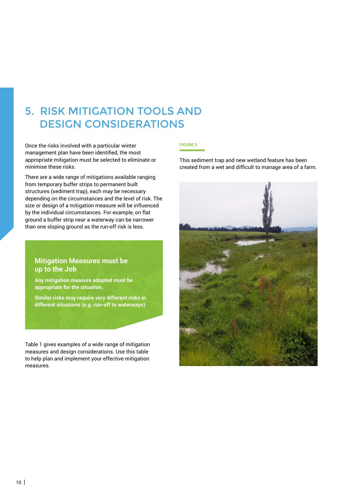# 5. Risk Mitigation Tools and DESIGN CONSIDERATIONS

Once the risks involved with a particular winter management plan have been identified, the most appropriate mitigation must be selected to eliminate or minimise these risks.

There are a wide range of mitigations available ranging from temporary buffer strips to permanent built structures (sediment trap), each may be necessary depending on the circumstances and the level of risk. The size or design of a mitigation measure will be influenced by the individual circumstances. For example, on flat ground a buffer strip near a waterway can be narrower than one sloping ground as the run-off risk is less.

# **Mitigation Measures must be up to the Job**

**Any mitigation measure adopted must be appropriate for the situation.**

**Similar risks may require very different risks in different situations (e.g. run-off to waterways)**

Table 1 gives examples of a wide range of mitigation measures and design considerations. Use this table to help plan and implement your effective mitigation measures.

### **Figure 5**

This sediment trap and new wetland feature has been created from a wet and difficult to manage area of a farm.

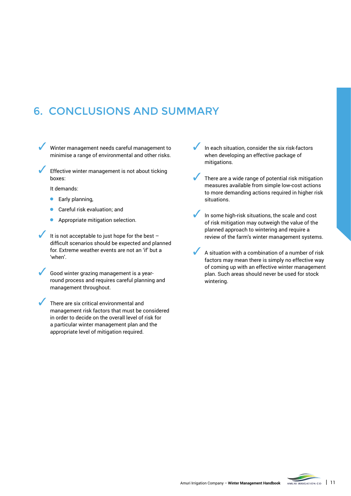# 6. Conclusions and Summary

Winter management needs careful management to minimise a range of environmental and other risks.

Effective winter management is not about ticking boxes:

It demands:

- Early planning,
- Careful risk evaluation; and
- Appropriate mitigation selection.

It is not acceptable to just hope for the best  $$ difficult scenarios should be expected and planned for. Extreme weather events are not an 'if' but a 'when'.

Good winter grazing management is a yearround process and requires careful planning and management throughout.

There are six critical environmental and management risk factors that must be considered in order to decide on the overall level of risk for a particular winter management plan and the appropriate level of mitigation required.

In each situation, consider the six risk-factors when developing an effective package of mitigations.

There are a wide range of potential risk mitigation measures available from simple low-cost actions to more demanding actions required in higher risk situations.

In some high-risk situations, the scale and cost of risk mitigation may outweigh the value of the planned approach to wintering and require a review of the farm's winter management systems.

A situation with a combination of a number of risk factors may mean there is simply no effective way of coming up with an effective winter management plan. Such areas should never be used for stock wintering.

Amuri Irrigation Company - Winter Management Handbook AMURI IRRIGATION CO. 11

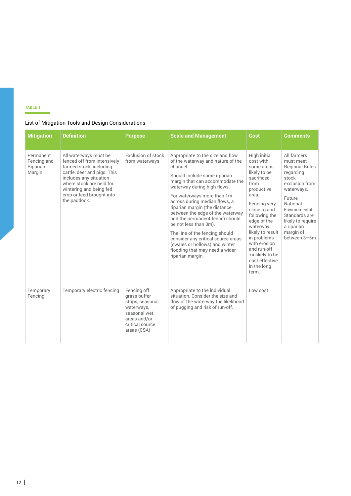### **TABLE 1**

### List of Mitigation Tools and Design Considerations

| <b>Mitigation</b>                              | <b>Definition</b>                                                                                                                                                                                                                            | <b>Purpose</b>                                                                                                                  | <b>Scale and Management</b>                                                                                                                                                                                                                                                                                                                                                                                                                                                                                                                         | Cost                                                                                                                                                                                                                                                                                                            | Comments                                                                                                                                                                                                                        |
|------------------------------------------------|----------------------------------------------------------------------------------------------------------------------------------------------------------------------------------------------------------------------------------------------|---------------------------------------------------------------------------------------------------------------------------------|-----------------------------------------------------------------------------------------------------------------------------------------------------------------------------------------------------------------------------------------------------------------------------------------------------------------------------------------------------------------------------------------------------------------------------------------------------------------------------------------------------------------------------------------------------|-----------------------------------------------------------------------------------------------------------------------------------------------------------------------------------------------------------------------------------------------------------------------------------------------------------------|---------------------------------------------------------------------------------------------------------------------------------------------------------------------------------------------------------------------------------|
| Permanent<br>Fencing and<br>Riparian<br>Margin | All waterways must be<br>fenced off from intensively<br>farmed stock, including<br>cattle, deer and pigs. This<br>includes any situation<br>where stock are held for<br>wintering and being fed<br>crop or feed brought into<br>the paddock. | Exclusion of stock<br>from waterways                                                                                            | Appropriate to the size and flow<br>of the waterway and nature of the<br>channel.<br>Should include some riparian<br>margin that can accommodate the<br>waterway during high flows.<br>For waterways more than 1m<br>across during median flows, a<br>riparian margin (the distance<br>between the edge of the waterway<br>and the permanent fence) should<br>be not less than 3m).<br>The line of the fencing should<br>consider any critical source areas<br>(swales or hollows) and winter<br>flooding that may need a wider<br>riparian margin. | High initial<br>cost with<br>some areas<br>likely to be<br>sacrificed<br>from<br>productive<br>area.<br>Fencing very<br>close to and<br>following the<br>edge of the<br>waterway<br>likely to result<br>in problems<br>with erosion<br>and run-off<br>-unlikely to be<br>cost effective<br>in the long<br>term. | All farmers<br>must meet<br><b>Regional Rules</b><br>regarding<br>stock<br>exclusion from<br>waterways.<br>Future<br>National<br>Fnvironmental<br>Standards are<br>likely to require<br>a riparian<br>margin of<br>between 3-5m |
| Temporary<br>Fencing                           | Temporary electric fencing                                                                                                                                                                                                                   | Fencing off<br>grass buffer<br>strips, seasonal<br>waterways,<br>seasonal wet<br>areas and/or<br>critical source<br>areas (CSA) | Appropriate to the individual<br>situation. Consider the size and<br>flow of the waterway the likelihood<br>of pugging and risk of run-off.                                                                                                                                                                                                                                                                                                                                                                                                         | Low cost                                                                                                                                                                                                                                                                                                        |                                                                                                                                                                                                                                 |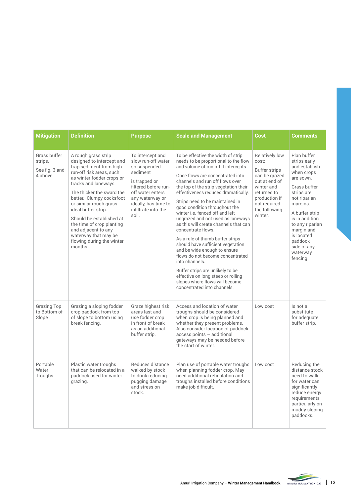| <b>Mitigation</b>                                     | <b>Definition</b>                                                                                                                                                                                                                                                                                                                                                                                                      | <b>Purpose</b>                                                                                                                                                                                            | <b>Scale and Management</b>                                                                                                                                                                                                                                                                                                                                                                                                                                                                                                                                                                                                                                                                                                                                                                    | Cost                                                                                                                                                                 | <b>Comments</b>                                                                                                                                                                                                                                                        |
|-------------------------------------------------------|------------------------------------------------------------------------------------------------------------------------------------------------------------------------------------------------------------------------------------------------------------------------------------------------------------------------------------------------------------------------------------------------------------------------|-----------------------------------------------------------------------------------------------------------------------------------------------------------------------------------------------------------|------------------------------------------------------------------------------------------------------------------------------------------------------------------------------------------------------------------------------------------------------------------------------------------------------------------------------------------------------------------------------------------------------------------------------------------------------------------------------------------------------------------------------------------------------------------------------------------------------------------------------------------------------------------------------------------------------------------------------------------------------------------------------------------------|----------------------------------------------------------------------------------------------------------------------------------------------------------------------|------------------------------------------------------------------------------------------------------------------------------------------------------------------------------------------------------------------------------------------------------------------------|
| Grass buffer<br>strips.<br>See fig. 3 and<br>4 above. | A rough grass strip<br>designed to intercept and<br>trap sediment from high<br>run-off risk areas, such<br>as winter fodder crops or<br>tracks and laneways.<br>The thicker the sward the<br>better. Clumpy cocksfoot<br>or similar rough grass<br>ideal buffer strip.<br>Should be established at<br>the time of crop planting<br>and adjacent to any<br>waterway that may be<br>flowing during the winter<br>months. | To intercept and<br>slow run-off water<br>so suspended<br>sediment<br>is trapped or<br>filtered before run-<br>off water enters<br>any waterway or<br>ideally, has time to<br>infiltrate into the<br>soil | To be effective the width of strip<br>needs to be proportional to the flow<br>and volume of run-off it intercepts.<br>Once flows are concentrated into<br>channels and run off flows over<br>the top of the strip vegetation their<br>effectiveness reduces dramatically.<br>Strips need to be maintained in<br>good condition throughout the<br>winter i.e. fenced off and left<br>ungrazed and not used as laneways<br>as this will create channels that can<br>concentrate flows.<br>As a rule of thumb buffer strips<br>should have sufficient vegetation<br>and be wide enough to ensure<br>flows do not become concentrated<br>into channels.<br>Buffer strips are unlikely to be<br>effective on long steep or rolling<br>slopes where flows will become<br>concentrated into channels. | Relatively low<br>cost:<br>Buffer strips<br>can be grazed<br>out at end of<br>winter and<br>returned to<br>production if<br>not required<br>the following<br>winter. | Plan buffer<br>strips early<br>and establish<br>when crops<br>are sown.<br>Grass buffer<br>strips are<br>not riparian<br>margins.<br>A buffer strip<br>is in addition<br>to any riparian<br>margin and<br>is located<br>paddock<br>side of any<br>waterway<br>fencing. |
| <b>Grazing Top</b><br>to Bottom of<br>Slope           | Grazing a sloping fodder<br>crop paddock from top<br>of slope to bottom using<br>break fencing.                                                                                                                                                                                                                                                                                                                        | Graze highest risk<br>areas last and<br>use fodder crop<br>in front of break<br>as an additional<br>buffer strip.                                                                                         | Access and location of water<br>troughs should be considered<br>when crop is being planned and<br>whether they present problems.<br>Also consider location of paddock<br>access points - additional<br>gateways may be needed before<br>the start of winter.                                                                                                                                                                                                                                                                                                                                                                                                                                                                                                                                   | Low cost                                                                                                                                                             | Is not a<br>substitute<br>for adequate<br>buffer strip.                                                                                                                                                                                                                |
| Portable<br>Water<br>Troughs                          | Plastic water troughs<br>that can be relocated in a<br>paddock used for winter<br>grazing.                                                                                                                                                                                                                                                                                                                             | Reduces distance<br>walked by stock<br>to drink reducing<br>pugging damage<br>and stress on<br>stock.                                                                                                     | Plan use of portable water troughs<br>when planning fodder crop. May<br>need additional reticulation and<br>troughs installed before conditions<br>make job difficult.                                                                                                                                                                                                                                                                                                                                                                                                                                                                                                                                                                                                                         | Low cost                                                                                                                                                             | Reducing the<br>distance stock<br>need to walk<br>for water can<br>significantly<br>reduce energy<br>requirements<br>particularly on<br>muddy sloping<br>paddocks.                                                                                                     |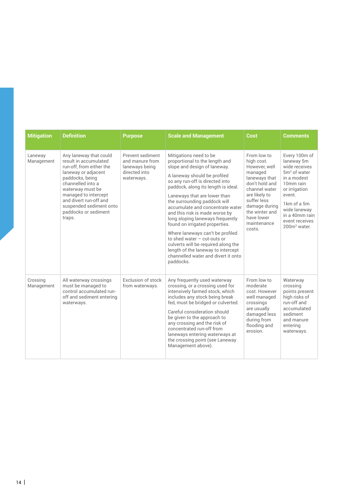| <b>Mitigation</b>      | <b>Definition</b>                                                                                                                                                                                                                                                             | <b>Purpose</b>                                                                       | <b>Scale and Management</b>                                                                                                                                                                                                                                                                                                                                                                                                                                                                                                                                                                                          | Cost                                                                                                                                                                                                                | <b>Comments</b>                                                                                                                                                                                                                            |
|------------------------|-------------------------------------------------------------------------------------------------------------------------------------------------------------------------------------------------------------------------------------------------------------------------------|--------------------------------------------------------------------------------------|----------------------------------------------------------------------------------------------------------------------------------------------------------------------------------------------------------------------------------------------------------------------------------------------------------------------------------------------------------------------------------------------------------------------------------------------------------------------------------------------------------------------------------------------------------------------------------------------------------------------|---------------------------------------------------------------------------------------------------------------------------------------------------------------------------------------------------------------------|--------------------------------------------------------------------------------------------------------------------------------------------------------------------------------------------------------------------------------------------|
| Laneway<br>Management  | Any laneway that could<br>result in accumulated<br>run-off, from either the<br>laneway or adjacent<br>paddocks, being<br>channelled into a<br>waterway must be<br>managed to intercept<br>and divert run-off and<br>suspended sediment onto<br>paddocks or sediment<br>traps. | Prevent sediment<br>and manure from<br>laneways being<br>directed into<br>waterways. | Mitigations need to be<br>proportional to the length and<br>slope and design of laneway.<br>A laneway should be profiled<br>so any run-off is directed into<br>paddock, along its length is ideal.<br>Laneways that are lower than<br>the surrounding paddock will<br>accumulate and concentrate water<br>and this risk is made worse by<br>long sloping laneways frequently<br>found on irrigated properties.<br>Where laneways can't be profiled<br>to shed water $-$ cut-outs or<br>culverts will be required along the<br>length of the laneway to intercept<br>channelled water and divert it onto<br>paddocks. | From low to<br>high cost.<br>However, well<br>managed<br>laneways that<br>don't hold and<br>channel water<br>are likely to<br>suffer less<br>damage during<br>the winter and<br>have lower<br>maintenance<br>costs. | Every 100m of<br>laneway 5m<br>wide receives<br>5m <sup>3</sup> of water<br>in a modest<br>10 <sub>mm</sub> rain<br>or irrigation<br>event.<br>1km of a 5m<br>wide laneway<br>in a 40mm rain<br>event receives<br>200m <sup>3</sup> water. |
| Crossing<br>Management | All waterway crossings<br>must be managed to<br>control accumulated run-<br>off and sediment entering<br>waterways.                                                                                                                                                           | Exclusion of stock<br>from waterways.                                                | Any frequently used waterway<br>crossing, or a crossing used for<br>intensively farmed stock, which<br>includes any stock being break<br>fed, must be bridged or culverted.<br>Careful consideration should<br>be given to the approach to<br>any crossing and the risk of<br>concentrated run-off from<br>laneways entering waterways at<br>the crossing point (see Laneway<br>Management above).                                                                                                                                                                                                                   | From low to<br>moderate<br>cost. However<br>well managed<br>crossings<br>are usually<br>damaged less<br>during from<br>flooding and<br>erosion.                                                                     | Waterway<br>crossing<br>points present<br>high risks of<br>run-off and<br>accumulated<br>sediment<br>and manure<br>entering<br>waterways.                                                                                                  |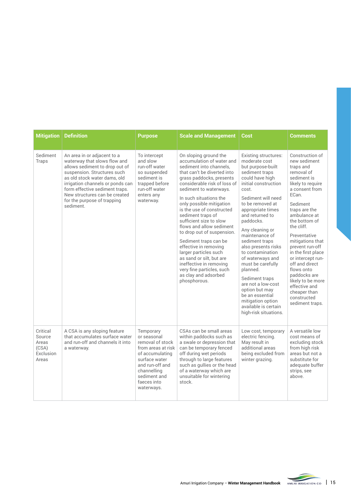| <b>Mitigation</b>                                          | <b>Definition</b>                                                                                                                                                                                                                                                                                              | <b>Purpose</b>                                                                                                                                                                        | <b>Scale and Management</b>                                                                                                                                                                                                                                                                                                                                                                                                                                                                                                                                                                            | Cost                                                                                                                                                                                                                                                                                                                                                                                                                                                                                                                                      | Comments                                                                                                                                                                                                                                                                                                                                                                                                                                        |
|------------------------------------------------------------|----------------------------------------------------------------------------------------------------------------------------------------------------------------------------------------------------------------------------------------------------------------------------------------------------------------|---------------------------------------------------------------------------------------------------------------------------------------------------------------------------------------|--------------------------------------------------------------------------------------------------------------------------------------------------------------------------------------------------------------------------------------------------------------------------------------------------------------------------------------------------------------------------------------------------------------------------------------------------------------------------------------------------------------------------------------------------------------------------------------------------------|-------------------------------------------------------------------------------------------------------------------------------------------------------------------------------------------------------------------------------------------------------------------------------------------------------------------------------------------------------------------------------------------------------------------------------------------------------------------------------------------------------------------------------------------|-------------------------------------------------------------------------------------------------------------------------------------------------------------------------------------------------------------------------------------------------------------------------------------------------------------------------------------------------------------------------------------------------------------------------------------------------|
| Sediment<br>Traps                                          | An area in or adjacent to a<br>waterway that slows flow and<br>allows sediment to drop out of<br>suspension. Structures such<br>as old stock water dams, old<br>irrigation channels or ponds can<br>form effective sediment traps.<br>New structures can be created<br>for the purpose of trapping<br>sediment | To intercept<br>and slow<br>run-off water<br>so suspended<br>sediment is<br>trapped before<br>run-off water<br>enters any<br>waterway.                                                | On sloping ground the<br>accumulation of water and<br>sediment into channels.<br>that can't be diverted into<br>grass paddocks, presents<br>considerable risk of loss of<br>sediment to waterways.<br>In such situations the<br>only possible mitigation<br>is the use of constructed<br>sediment traps of<br>sufficient size to slow<br>flows and allow sediment<br>to drop out of suspension.<br>Sediment traps can be<br>effective in removing<br>larger particles such<br>as sand or silt, but are<br>ineffective in removing<br>very fine particles, such<br>as clay and adsorbed<br>phosphorous. | Existing structures:<br>moderate cost<br>but purpose-built<br>sediment traps<br>could have high<br>initial construction<br>cost.<br>Sediment will need<br>to be removed at<br>appropriate times<br>and returned to<br>paddocks.<br>Any cleaning or<br>maintenance of<br>sediment traps<br>also presents risks<br>to contamination<br>of waterways and<br>must be carefully<br>planned.<br>Sediment traps<br>are not a low-cost<br>option but may<br>be an essential<br>mitigation option<br>available is certain<br>high-risk situations. | Construction of<br>new sediment<br>traps and<br>removal of<br>sediment is<br>likely to require<br>a consent from<br>FCan.<br>Sediment<br>traps are the<br>ambulance at<br>the bottom of<br>the cliff.<br>Preventative<br>mitigations that<br>prevent run-off<br>in the first place<br>or intercept run-<br>off and direct<br>flows onto<br>paddocks are<br>likely to be more<br>effective and<br>cheaper than<br>constructed<br>sediment traps. |
| Critical<br>Source<br>Areas<br>(CSA)<br>Exclusion<br>Areas | A CSA is any sloping feature<br>that accumulates surface water<br>and run-off and channels it into<br>a waterway.                                                                                                                                                                                              | Temporary<br>or seasonal<br>removal of stock<br>from areas at risk<br>of accumulating<br>surface water<br>and run-off and<br>channelling<br>sediment and<br>faeces into<br>waterways. | CSAs can be small areas<br>within paddocks such as<br>a swale or depression that<br>can be temporary fenced<br>off during wet periods<br>through to large features<br>such as gullies or the head<br>of a waterway which are<br>unsuitable for wintering<br>stock.                                                                                                                                                                                                                                                                                                                                     | Low cost, temporary<br>electric fencing.<br>May result in<br>additional areas<br>being excluded from<br>winter grazing.                                                                                                                                                                                                                                                                                                                                                                                                                   | A versatile low<br>cost means of<br>excluding stock<br>from high risk<br>areas but not a<br>substitute for<br>adequate buffer<br>strips, see<br>above.                                                                                                                                                                                                                                                                                          |

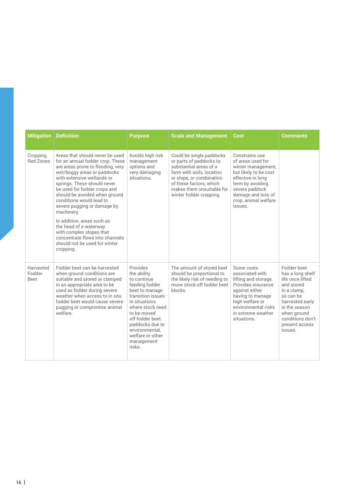| <b>Mitigation</b>                  | <b>Definition</b>                                                                                                                                                                                                                                                                                                                                                            | <b>Purpose</b>                                                                                                                                                                                                                                          | <b>Scale and Management</b>                                                                                                                                                                                               | <b>Cost</b>                                                                                                                                                                                            | <b>Comments</b>                                                                                                                                                                                   |
|------------------------------------|------------------------------------------------------------------------------------------------------------------------------------------------------------------------------------------------------------------------------------------------------------------------------------------------------------------------------------------------------------------------------|---------------------------------------------------------------------------------------------------------------------------------------------------------------------------------------------------------------------------------------------------------|---------------------------------------------------------------------------------------------------------------------------------------------------------------------------------------------------------------------------|--------------------------------------------------------------------------------------------------------------------------------------------------------------------------------------------------------|---------------------------------------------------------------------------------------------------------------------------------------------------------------------------------------------------|
| Cropping<br><b>Red Zones</b>       | Areas that should never be used<br>for an annual fodder crop. These<br>are areas prone to flooding, very<br>wet/boggy areas or paddocks<br>with extensive wetlands or<br>springs. These should never<br>be used for fodder crops and<br>should be avoided when ground<br>conditions would lead to<br>severe pugging or damage by<br>machinery.<br>In addition, areas such as | Avoids high risk<br>management<br>options and<br>very damaging<br>situations.                                                                                                                                                                           | Could be single paddocks<br>or parts of paddocks to<br>substantial areas of a<br>farm with soils, location<br>or slope, or combination<br>of these factors, which<br>makes them unsuitable for<br>winter fodder cropping. | Constrains use<br>of areas used for<br>winter management,<br>but likely to be cost<br>effective in long<br>term by avoiding<br>severe paddock<br>damage and loss of<br>crop, animal welfare<br>issues. |                                                                                                                                                                                                   |
|                                    | the head of a waterway<br>with complex slopes that<br>concentrate flows into channels<br>should not be used for winter<br>cropping.                                                                                                                                                                                                                                          |                                                                                                                                                                                                                                                         |                                                                                                                                                                                                                           |                                                                                                                                                                                                        |                                                                                                                                                                                                   |
| Harvested<br>Fodder<br><b>Beet</b> | Fodder beet can be harvested<br>when ground conditions are<br>suitable and stored or clamped<br>in an appropriate area to be<br>used as fodder during severe<br>weather when access to in situ<br>fodder beet would cause severe<br>pugging or compromise animal<br>welfare.                                                                                                 | Provides<br>the ability<br>to continue<br>feeding fodder<br>beet to manage<br>transition issues<br>in situations<br>where stock need<br>to be moved<br>off fodder beet<br>paddocks due to<br>environmental.<br>welfare or other<br>management<br>risks. | The amount of stored beet<br>should be proportional to<br>the likely risk of needing to<br>move stock off fodder beet<br>blocks.                                                                                          | Some costs<br>associated with<br>lifting and storage.<br>Provides insurance<br>against either<br>having to manage<br>high welfare or<br>environmental risks<br>in extreme weather<br>situations.       | Fodder beet<br>has a long shelf<br>life once lifted<br>and stored<br>in a clamp,<br>so can be<br>harvested early<br>in the season<br>when ground<br>conditions don't<br>present access<br>issues. |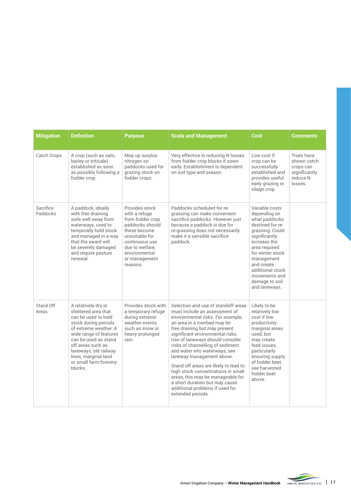| <b>Mitigation</b>     | <b>Definition</b>                                                                                                                                                                                                                                                               | <b>Purpose</b>                                                                                                                                                                              | <b>Scale and Management</b>                                                                                                                                                                                                                                                                                                                                                                                                                                                                                                                                       | Cost                                                                                                                                                                                                                                                             | <b>Comments</b>                                                                 |
|-----------------------|---------------------------------------------------------------------------------------------------------------------------------------------------------------------------------------------------------------------------------------------------------------------------------|---------------------------------------------------------------------------------------------------------------------------------------------------------------------------------------------|-------------------------------------------------------------------------------------------------------------------------------------------------------------------------------------------------------------------------------------------------------------------------------------------------------------------------------------------------------------------------------------------------------------------------------------------------------------------------------------------------------------------------------------------------------------------|------------------------------------------------------------------------------------------------------------------------------------------------------------------------------------------------------------------------------------------------------------------|---------------------------------------------------------------------------------|
| Catch Crops           | A crop (such as oats,<br>barley or triticale)<br>established as soon<br>as possible following a<br>fodder crop.                                                                                                                                                                 | Mop up surplus<br>nitrogen on<br>paddocks used for<br>grazing stock on<br>fodder crops.                                                                                                     | Very effective in reducing N losses<br>from fodder crop blocks if sown<br>early. Establishment is dependent<br>on soil type and season.                                                                                                                                                                                                                                                                                                                                                                                                                           | Low cost if<br>crop can be<br>successfully<br>established and<br>provides useful<br>early grazing or<br>silage crop.                                                                                                                                             | Trials have<br>shown catch<br>crops can<br>significantly<br>reduce N<br>losses. |
| Sacrifice<br>Paddocks | A paddock, ideally<br>with free draining<br>soils well away from<br>waterways, used to<br>temporally hold stock<br>and managed in a way<br>that the sward will<br>be severely damaged<br>and require pasture<br>renewal.                                                        | Provides stock<br>with a refuge<br>from fodder crop<br>paddocks should<br>these become<br>unsuitable for<br>continuous use<br>due to welfare.<br>environmental<br>or management<br>reasons. | Paddocks scheduled for re-<br>grassing can make convenient<br>sacrifice paddocks. However just<br>because a paddock is due for<br>re-grassing does not necessarily<br>make it a sensible sacrifice<br>paddock.                                                                                                                                                                                                                                                                                                                                                    | Variable costs<br>depending on<br>what paddocks<br>destined for re-<br>grassing. Could<br>significantly<br>increase the<br>area required<br>for winter stock<br>management<br>and create<br>additional stock<br>movements and<br>damage to soil<br>and laneways. |                                                                                 |
| Stand Off<br>Areas    | A relatively dry or<br>sheltered area that<br>can be used to hold<br>stock during periods<br>of extreme weather. A<br>wide range of features<br>can be used as stand<br>off areas such as<br>laneways, old railway<br>lines, marginal land<br>or small farm forestry<br>blocks. | Provides stock with<br>a temporary refuge<br>during extreme<br>weather events<br>such as snow or<br>heavy prolonged<br>rain.                                                                | Selection and use of standoff areas<br>must include an assessment of<br>environmental risks. For example,<br>an area in a riverbed may be<br>free draining but may present<br>significant environmental risks.<br>Use of laneways should consider<br>risks of channelling of sediment<br>and water into waterways, see<br>laneway management above.<br>Stand off areas are likely to lead to<br>high stock concentrations in small<br>areas, this may be manageable for<br>a short duration but may cause<br>additional problems if used for<br>extended periods. | Likely to be<br>relatively low<br>cost if low<br>productivity<br>marginal areas<br>used, but<br>may create<br>feed issues,<br>particularly<br>ensuring supply<br>of fodder beet.<br>see harvested<br>fodder beet<br>above.                                       |                                                                                 |